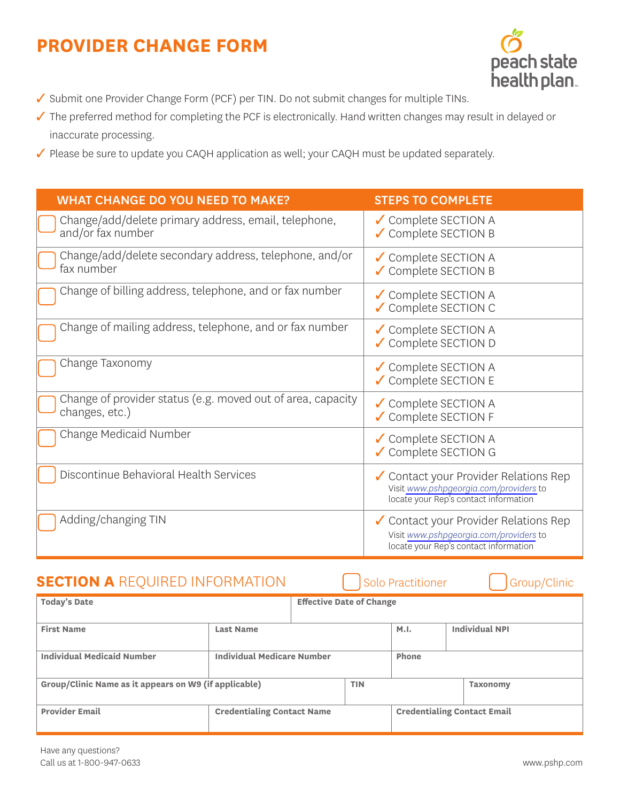## **PROVIDER CHANGE FORM**



- ✓ Submit one Provider Change Form (PCF) per TIN. Do not submit changes for multiple TINs.
- ✓ The preferred method for completing the PCF is electronically. Hand written changes may result in delayed or inaccurate processing.
- ✓ Please be sure to update you CAQH application as well; your CAQH must be updated separately.

| <b>WHAT CHANGE DO YOU NEED TO MAKE?</b>                                       | <b>STEPS TO COMPLETE</b>                                                                                                 |
|-------------------------------------------------------------------------------|--------------------------------------------------------------------------------------------------------------------------|
| Change/add/delete primary address, email, telephone,<br>and/or fax number     | ✔ Complete SECTION A<br>✔ Complete SECTION B                                                                             |
| Change/add/delete secondary address, telephone, and/or<br>fax number          | ✔ Complete SECTION A<br>✔ Complete SECTION B                                                                             |
| Change of billing address, telephone, and or fax number                       | ✔ Complete SECTION A<br>✔ Complete SECTION C                                                                             |
| Change of mailing address, telephone, and or fax number                       | ✔ Complete SECTION A<br>✔ Complete SECTION D                                                                             |
| Change Taxonomy                                                               | ✔ Complete SECTION A<br>✔ Complete SECTION E                                                                             |
| Change of provider status (e.g. moved out of area, capacity<br>changes, etc.) | ✔ Complete SECTION A<br>✔ Complete SECTION F                                                                             |
| Change Medicaid Number                                                        | ✔ Complete SECTION A<br>✔ Complete SECTION G                                                                             |
| Discontinue Behavioral Health Services                                        | ✔ Contact your Provider Relations Rep<br>Visit www.pshpgeorgia.com/providers to<br>locate your Rep's contact information |
| Adding/changing TIN                                                           | ✔ Contact your Provider Relations Rep<br>Visit www.pshpgeorgia.com/providers to<br>locate your Rep's contact information |

## **SECTION A** REQUIRED INFORMATION Golo Practitioner Group/Clinic

| <b>Today's Date</b>                                   |                                   | <b>Effective Date of Change</b> |                                    |                       |                 |  |
|-------------------------------------------------------|-----------------------------------|---------------------------------|------------------------------------|-----------------------|-----------------|--|
|                                                       |                                   |                                 |                                    |                       |                 |  |
| <b>First Name</b>                                     | <b>Last Name</b>                  |                                 | M.I.                               | <b>Individual NPI</b> |                 |  |
|                                                       |                                   |                                 |                                    |                       |                 |  |
| <b>Individual Medicaid Number</b>                     | <b>Individual Medicare Number</b> |                                 | Phone                              |                       |                 |  |
|                                                       |                                   |                                 |                                    |                       |                 |  |
| Group/Clinic Name as it appears on W9 (if applicable) |                                   |                                 | <b>TIN</b>                         |                       | <b>Taxonomy</b> |  |
|                                                       |                                   |                                 |                                    |                       |                 |  |
| <b>Provider Email</b>                                 | <b>Credentialing Contact Name</b> |                                 | <b>Credentialing Contact Email</b> |                       |                 |  |
|                                                       |                                   |                                 |                                    |                       |                 |  |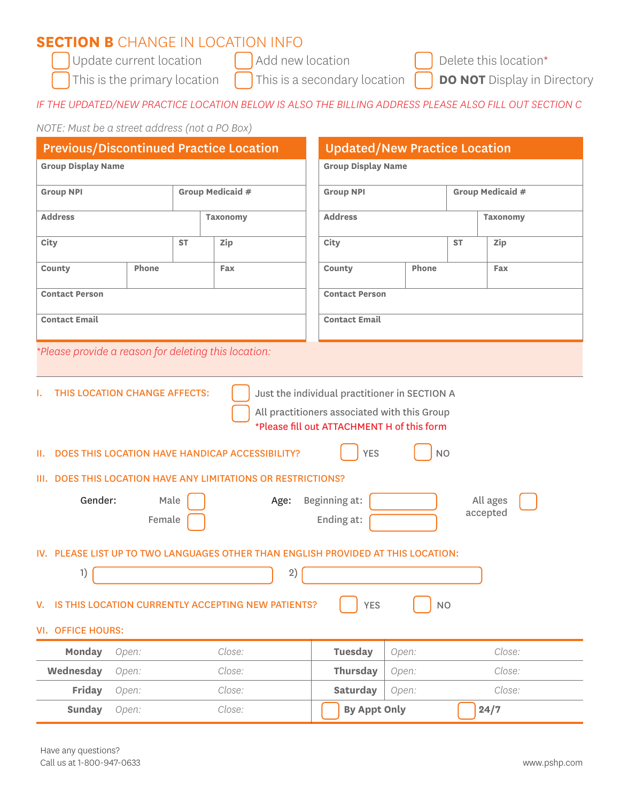# **SECTION B** CHANGE IN LOCATION INFO<br>
Update current location<br>
Add new location

Update current location  $\bigcap$  Add new location  $\bigcap$  Delete this location\*

This is the primary location  $\Box$  This is a secondary location  $\Box$  **DO NOT** Display in Directory

#### *IF THE UPDATED/NEW PRACTICE LOCATION BELOW IS ALSO THE BILLING ADDRESS PLEASE ALSO FILL OUT SECTION C*

#### *NOTE: Must be a street address (not a PO Box)*

| <b>Previous/Discontinued Practice Location</b>                                                                                                                                                                                          |       |           |                                                                                   | <b>Updated/New Practice Location</b> |       |           |                 |
|-----------------------------------------------------------------------------------------------------------------------------------------------------------------------------------------------------------------------------------------|-------|-----------|-----------------------------------------------------------------------------------|--------------------------------------|-------|-----------|-----------------|
| <b>Group Display Name</b>                                                                                                                                                                                                               |       |           |                                                                                   | <b>Group Display Name</b>            |       |           |                 |
| <b>Group NPI</b>                                                                                                                                                                                                                        |       |           | Group Medicaid #                                                                  | Group Medicaid #<br><b>Group NPI</b> |       |           |                 |
| <b>Address</b>                                                                                                                                                                                                                          |       |           | <b>Taxonomy</b>                                                                   | <b>Address</b>                       |       |           | <b>Taxonomy</b> |
| City                                                                                                                                                                                                                                    |       | <b>ST</b> | Zip                                                                               | City                                 |       | <b>ST</b> | Zip             |
| County                                                                                                                                                                                                                                  | Phone |           | Fax                                                                               | County                               | Phone |           | Fax             |
| <b>Contact Person</b>                                                                                                                                                                                                                   |       |           |                                                                                   | <b>Contact Person</b>                |       |           |                 |
| <b>Contact Email</b>                                                                                                                                                                                                                    |       |           |                                                                                   | <b>Contact Email</b>                 |       |           |                 |
|                                                                                                                                                                                                                                         |       |           |                                                                                   |                                      |       |           |                 |
|                                                                                                                                                                                                                                         |       |           | *Please provide a reason for deleting this location:                              |                                      |       |           |                 |
| <b>NO</b><br><b>YES</b><br>DOES THIS LOCATION HAVE HANDICAP ACCESSIBILITY?<br>III. DOES THIS LOCATION HAVE ANY LIMITATIONS OR RESTRICTIONS?<br>Gender:<br>Beginning at:<br>Male<br>All ages<br>Age:<br>accepted<br>Ending at:<br>Female |       |           |                                                                                   |                                      |       |           |                 |
|                                                                                                                                                                                                                                         |       |           | IV. PLEASE LIST UP TO TWO LANGUAGES OTHER THAN ENGLISH PROVIDED AT THIS LOCATION: |                                      |       |           |                 |
| 2)<br>1)                                                                                                                                                                                                                                |       |           |                                                                                   |                                      |       |           |                 |
| V. IS THIS LOCATION CURRENTLY ACCEPTING NEW PATIENTS?<br>YES<br><b>NO</b>                                                                                                                                                               |       |           |                                                                                   |                                      |       |           |                 |
| <b>VI. OFFICE HOURS:</b>                                                                                                                                                                                                                |       |           |                                                                                   |                                      |       |           |                 |
| Monday                                                                                                                                                                                                                                  | Open: |           | Close:                                                                            | <b>Tuesday</b>                       | Open: |           | Close:          |
| Wednesday                                                                                                                                                                                                                               | Open: |           | Close:                                                                            | Thursday                             | Open: |           | Close:          |
| Friday                                                                                                                                                                                                                                  | Open: |           | Close:                                                                            | <b>Saturday</b>                      | Open: |           | Close:          |
| <b>Sunday</b>                                                                                                                                                                                                                           | Open: |           | Close:                                                                            | <b>By Appt Only</b>                  |       |           | 24/7            |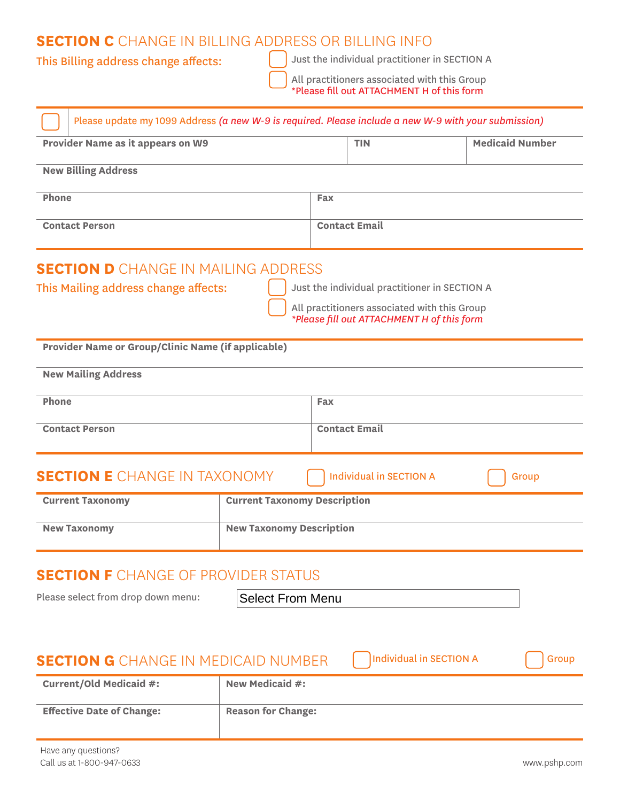### **SECTION C** CHANGE IN BILLING ADDRESS OR BILLING INFO

This Billing address change affects: Just the individual practitioner in SECTION A

All practitioners associated with this Group \*Please fill out ATTACHMENT H of this form

| Please update my 1099 Address (a new W-9 is required. Please include a new W-9 with your submission) |                                     |                                                                                            |                                |                        |
|------------------------------------------------------------------------------------------------------|-------------------------------------|--------------------------------------------------------------------------------------------|--------------------------------|------------------------|
| Provider Name as it appears on W9                                                                    |                                     | <b>TIN</b>                                                                                 |                                | <b>Medicaid Number</b> |
| <b>New Billing Address</b>                                                                           |                                     |                                                                                            |                                |                        |
| Phone                                                                                                |                                     | Fax                                                                                        |                                |                        |
| <b>Contact Person</b>                                                                                |                                     | <b>Contact Email</b>                                                                       |                                |                        |
| <b>SECTION D</b> CHANGE IN MAILING ADDRESS                                                           |                                     |                                                                                            |                                |                        |
| This Mailing address change affects:                                                                 |                                     | Just the individual practitioner in SECTION A                                              |                                |                        |
|                                                                                                      |                                     | All practitioners associated with this Group<br>*Please fill out ATTACHMENT H of this form |                                |                        |
| Provider Name or Group/Clinic Name (if applicable)                                                   |                                     |                                                                                            |                                |                        |
| <b>New Mailing Address</b>                                                                           |                                     |                                                                                            |                                |                        |
| Phone                                                                                                |                                     | Fax                                                                                        |                                |                        |
| <b>Contact Email</b><br><b>Contact Person</b>                                                        |                                     |                                                                                            |                                |                        |
| <b>SECTION E</b> CHANGE IN TAXONOMY                                                                  |                                     | <b>Individual in SECTION A</b>                                                             |                                | Group                  |
| <b>Current Taxonomy</b>                                                                              | <b>Current Taxonomy Description</b> |                                                                                            |                                |                        |
| <b>New Taxonomy</b>                                                                                  | <b>New Taxonomy Description</b>     |                                                                                            |                                |                        |
| <b>SECTION F</b> CHANGE OF PROVIDER STATUS                                                           |                                     |                                                                                            |                                |                        |
| <b>Select From Menu</b><br>Please select from drop down menu:                                        |                                     |                                                                                            |                                |                        |
|                                                                                                      |                                     |                                                                                            |                                |                        |
| <b>SECTION G</b> CHANGE IN MEDICAID NUMBER                                                           |                                     |                                                                                            | <b>Individual in SECTION A</b> | Group                  |
| <b>Current/Old Medicaid #:</b>                                                                       | New Medicaid #:                     |                                                                                            |                                |                        |
| <b>Effective Date of Change:</b>                                                                     | <b>Reason for Change:</b>           |                                                                                            |                                |                        |
| Have any questions?                                                                                  |                                     |                                                                                            |                                |                        |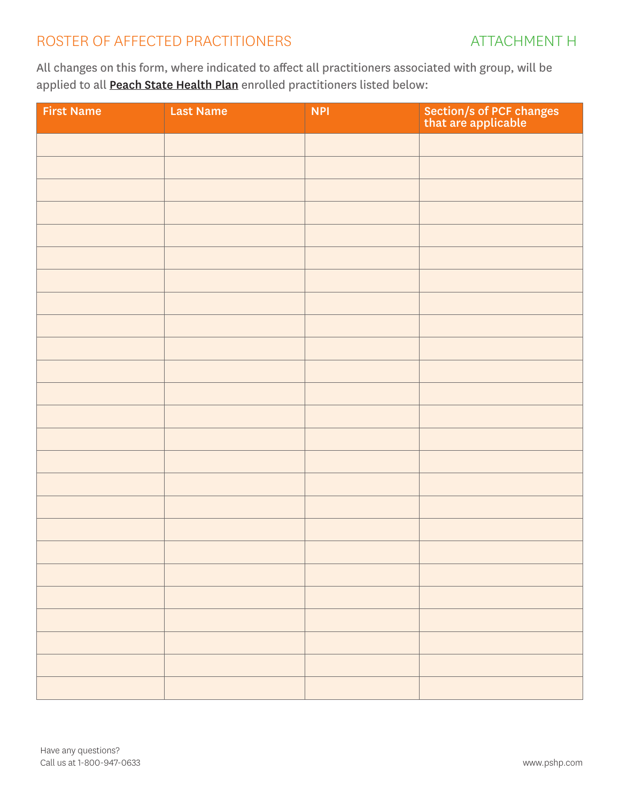## ROSTER OF AFFECTED PRACTITIONERS ATTACHMENT H

All changes on this form, where indicated to affect all practitioners associated with group, will be applied to all **Peach State Health Plan** enrolled practitioners listed below:

| <b>First Name</b> | <b>Last Name</b> | <b>NPI</b> | Section/s of PCF changes<br>that are applicable |
|-------------------|------------------|------------|-------------------------------------------------|
|                   |                  |            |                                                 |
|                   |                  |            |                                                 |
|                   |                  |            |                                                 |
|                   |                  |            |                                                 |
|                   |                  |            |                                                 |
|                   |                  |            |                                                 |
|                   |                  |            |                                                 |
|                   |                  |            |                                                 |
|                   |                  |            |                                                 |
|                   |                  |            |                                                 |
|                   |                  |            |                                                 |
|                   |                  |            |                                                 |
|                   |                  |            |                                                 |
|                   |                  |            |                                                 |
|                   |                  |            |                                                 |
|                   |                  |            |                                                 |
|                   |                  |            |                                                 |
|                   |                  |            |                                                 |
|                   |                  |            |                                                 |
|                   |                  |            |                                                 |
|                   |                  |            |                                                 |
|                   |                  |            |                                                 |
|                   |                  |            |                                                 |
|                   |                  |            |                                                 |
|                   |                  |            |                                                 |